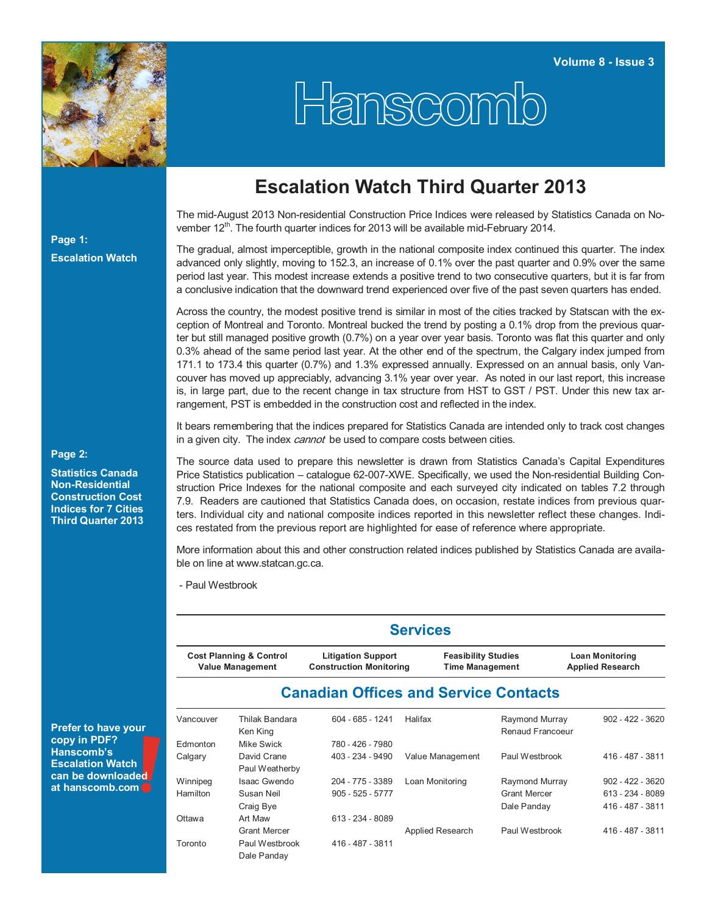

# Hanscomb

# **Escalation Watch Third Quarter 2013**

The mid-August 2013 Non-residential Construction Price Indices were released by Statistics Canada on November 12<sup>th</sup>. The fourth quarter indices for 2013 will be available mid-February 2014.

#### The gradual, almost imperceptible, growth in the national composite index continued this quarter. The index advanced only slightly, moving to 152.3, an increase of 0.1% over the past quarter and 0.9% over the same period last year. This modest increase extends a positive trend to two consecutive quarters, but it is far from a conclusive indication that the downward trend experienced over five of the past seven quarters has ended.

Across the country, the modest positive trend is similar in most of the cities tracked by Statscan with the exception of Montreal and Toronto. Montreal bucked the trend by posting a 0.1% drop from the previous quarter but still managed positive growth (0.7%) on a year over year basis. Toronto was flat this quarter and only 0.3% ahead of the same period last year. At the other end of the spectrum, the Calgary index jumped from 171.1 to 173.4 this quarter (0.7%) and 1.3% expressed annually. Expressed on an annual basis, only Vancouver has moved up appreciably, advancing 3.1% year over year. As noted in our last report, this increase is, in large part, due to the recent change in tax structure from HST to GST / PST. Under this new tax arrangement, PST is embedded in the construction cost and reflected in the index.

It bears remembering that the indices prepared for Statistics Canada are intended only to track cost changes in a given city. The index *cannot* be used to compare costs between cities.

The source data used to prepare this newsletter is drawn from Statistics Canada's Capital Expenditures Price Statistics publication – catalogue 62-007-XWE. Specifically, we used the Non-residential Building Construction Price Indexes for the national composite and each surveyed city indicated on tables 7.2 through 7.9. Readers are cautioned that Statistics Canada does, on occasion, restate indices from previous quarters. Individual city and national composite indices reported in this newsletter reflect these changes. Indices restated from the previous report are highlighted for ease of reference where appropriate.

More information about this and other construction related indices published by Statistics Canada are available on line at www.statcan.gc.ca.

- Paul Westbrook

| <b>Prefer to have your</b> |  |
|----------------------------|--|
| copy in PDF?               |  |
| <b>Hanscomb's</b>          |  |
| <b>Escalation Watch</b>    |  |
| can be downloaded          |  |
| at hanscomb.com            |  |

#### **Services**

| <b>Cost Planning &amp; Control</b> | <b>Litigation Support</b>      | <b>Feasibility Studies</b> | <b>Loan Monitoring</b>  |
|------------------------------------|--------------------------------|----------------------------|-------------------------|
| <b>Value Management</b>            | <b>Construction Monitoring</b> | <b>Time Management</b>     | <b>Applied Research</b> |
|                                    |                                |                            |                         |

### **Canadian Offices and Service Contacts**

| Vancouver | Thilak Bandara<br>Ken King    | $604 - 685 - 1241$ | Halifax          | Raymond Murray<br>Renaud Francoeur | $902 - 422 - 3620$ |
|-----------|-------------------------------|--------------------|------------------|------------------------------------|--------------------|
| Edmonton  | Mike Swick                    | 780 - 426 - 7980   |                  |                                    |                    |
| Calgary   | David Crane<br>Paul Weatherby | 403 - 234 - 9490   | Value Management | Paul Westbrook                     | 416 - 487 - 3811   |
| Winnipeg  | Isaac Gwendo                  | 204 - 775 - 3389   | Loan Monitoring  | Raymond Murray                     | $902 - 422 - 3620$ |
| Hamilton  | Susan Neil                    | $905 - 525 - 5777$ |                  | <b>Grant Mercer</b>                | 613 - 234 - 8089   |
|           | Craig Bye                     |                    |                  | Dale Panday                        | 416 - 487 - 3811   |
| Ottawa    | Art Maw                       | 613 - 234 - 8089   |                  |                                    |                    |
|           | <b>Grant Mercer</b>           |                    | Applied Research | Paul Westbrook                     | 416 - 487 - 3811   |
| Toronto   | Paul Westbrook<br>Dale Panday | 416 - 487 - 3811   |                  |                                    |                    |

#### **Page 2:**

**Page 1:** 

**Escalation Watch**

**Statistics Canada Non-Residential Construction Cost Indices for 7 Cities Third Quarter 2013**